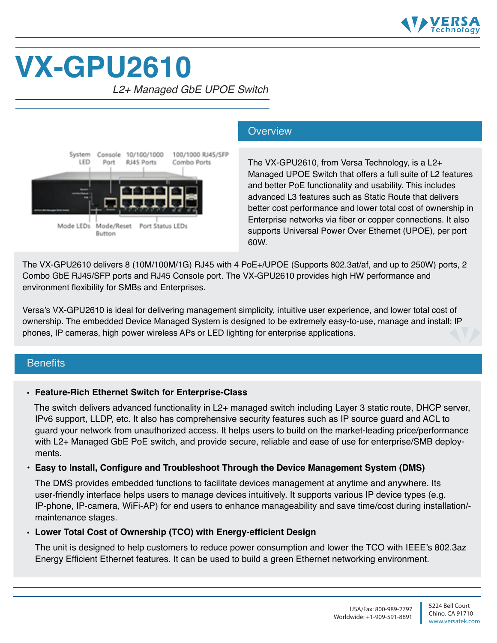

# **VX-GPU2610**

*L2+ Managed GbE UPOE Switch*



#### **Overview**

The VX-GPU2610, from Versa Technology, is a L2+ Managed UPOE Switch that offers a full suite of L2 features and better PoE functionality and usability. This includes advanced L3 features such as Static Route that delivers better cost performance and lower total cost of ownership in Enterprise networks via fiber or copper connections. It also supports Universal Power Over Ethernet (UPOE), per port 60W.

The VX-GPU2610 delivers 8 (10M/100M/1G) RJ45 with 4 PoE+/UPOE (Supports 802.3at/af, and up to 250W) ports, 2 Combo GbE RJ45/SFP ports and RJ45 Console port. The VX-GPU2610 provides high HW performance and environment flexibility for SMBs and Enterprises.

Versa's VX-GPU2610 is ideal for delivering management simplicity, intuitive user experience, and lower total cost of ownership. The embedded Device Managed System is designed to be extremely easy-to-use, manage and install; IP phones, IP cameras, high power wireless APs or LED lighting for enterprise applications.

#### **Benefits**

#### • **Feature-Rich Ethernet Switch for Enterprise-Class**

 The switch delivers advanced functionality in L2+ managed switch including Layer 3 static route, DHCP server, IPv6 support, LLDP, etc. It also has comprehensive security features such as IP source guard and ACL to guard your network from unauthorized access. It helps users to build on the market-leading price/performance with L2+ Managed GbE PoE switch, and provide secure, reliable and ease of use for enterprise/SMB deployments.

#### **• Easy to Install, Configure and Troubleshoot Through the Device Management System (DMS)**

 The DMS provides embedded functions to facilitate devices management at anytime and anywhere. Its user-friendly interface helps users to manage devices intuitively. It supports various IP device types (e.g. IP-phone, IP-camera, WiFi-AP) for end users to enhance manageability and save time/cost during installation/ maintenance stages.

#### • **Lower Total Cost of Ownership (TCO) with Energy-efficient Design**

The unit is designed to help customers to reduce power consumption and lower the TCO with IEEE's 802.3az Energy Efficient Ethernet features. It can be used to build a green Ethernet networking environment.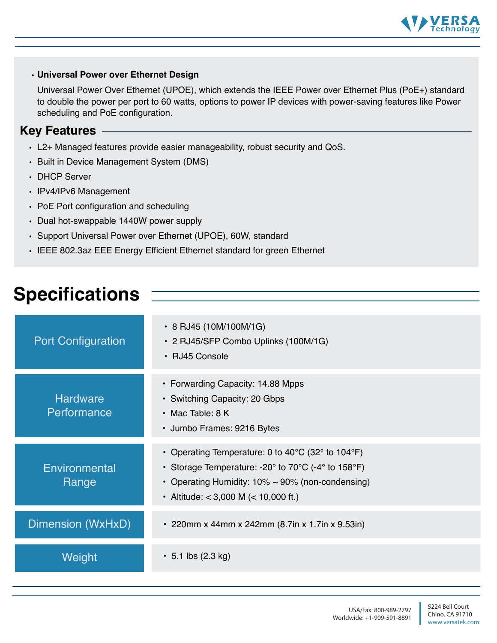

#### • **Universal Power over Ethernet Design**

Universal Power Over Ethernet (UPOE), which extends the IEEE Power over Ethernet Plus (PoE+) standard to double the power per port to 60 watts, options to power IP devices with power-saving features like Power scheduling and PoE configuration.

#### **Key Features**

- L2+ Managed features provide easier manageability, robust security and QoS.
- Built in Device Management System (DMS)
- DHCP Server
- IPv4/IPv6 Management
- PoE Port configuration and scheduling
- Dual hot-swappable 1440W power supply
- Support Universal Power over Ethernet (UPOE), 60W, standard
- IEEE 802.3az EEE Energy Efficient Ethernet standard for green Ethernet

# **Specifications**

| <b>Port Configuration</b>      | • 8 RJ45 (10M/100M/1G)<br>• 2 RJ45/SFP Combo Uplinks (100M/1G)<br>• RJ45 Console                                                                                                                                                                                                       |
|--------------------------------|----------------------------------------------------------------------------------------------------------------------------------------------------------------------------------------------------------------------------------------------------------------------------------------|
| <b>Hardware</b><br>Performance | • Forwarding Capacity: 14.88 Mpps<br>• Switching Capacity: 20 Gbps<br>$\cdot$ Mac Table: 8 K<br>• Jumbo Frames: 9216 Bytes                                                                                                                                                             |
| Environmental<br>Range         | • Operating Temperature: 0 to 40 $\degree$ C (32 $\degree$ to 104 $\degree$ F)<br>• Storage Temperature: -20 $^{\circ}$ to 70 $^{\circ}$ C (-4 $^{\circ}$ to 158 $^{\circ}$ F)<br>• Operating Humidity: $10\% \sim 90\%$ (non-condensing)<br>• Altitude: $<$ 3,000 M ( $<$ 10,000 ft.) |
| Dimension (WxHxD)              | • 220mm x 44mm x 242mm (8.7in x 1.7in x 9.53in)                                                                                                                                                                                                                                        |
| Weight                         | $\cdot$ 5.1 lbs (2.3 kg)                                                                                                                                                                                                                                                               |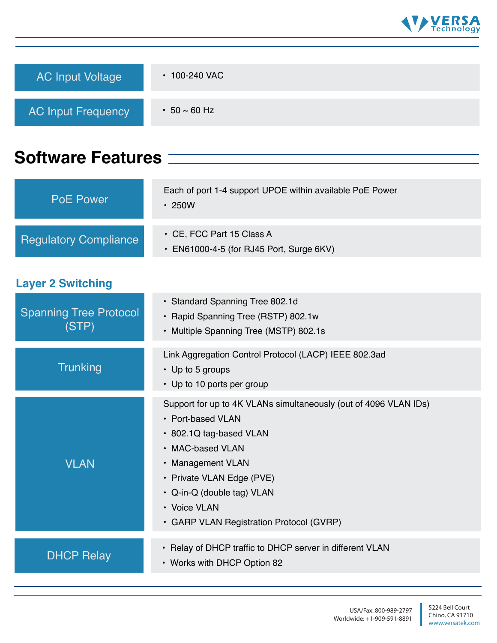

| <b>AC Input Voltage</b>                      | • 100-240 VAC                                                                                                                                                                                                                                                                    |
|----------------------------------------------|----------------------------------------------------------------------------------------------------------------------------------------------------------------------------------------------------------------------------------------------------------------------------------|
| <b>AC Input Frequency</b>                    | $\cdot$ 50 $\sim$ 60 Hz                                                                                                                                                                                                                                                          |
| <b>Software Features <math>\equiv</math></b> |                                                                                                                                                                                                                                                                                  |
| <b>PoE Power</b>                             | Each of port 1-4 support UPOE within available PoE Power<br>$\cdot$ 250W                                                                                                                                                                                                         |
| <b>Regulatory Compliance</b>                 | • CE, FCC Part 15 Class A<br>• EN61000-4-5 (for RJ45 Port, Surge 6KV)                                                                                                                                                                                                            |
| <b>Layer 2 Switching</b>                     |                                                                                                                                                                                                                                                                                  |
| <b>Spanning Tree Protocol</b><br>(STP)       | · Standard Spanning Tree 802.1d<br>• Rapid Spanning Tree (RSTP) 802.1w<br>• Multiple Spanning Tree (MSTP) 802.1s                                                                                                                                                                 |
| <b>Trunking</b>                              | Link Aggregation Control Protocol (LACP) IEEE 802.3ad<br>$\cdot$ Up to 5 groups<br>• Up to 10 ports per group                                                                                                                                                                    |
| <b>VLAN</b>                                  | Support for up to 4K VLANs simultaneously (out of 4096 VLAN IDs)<br>• Port-based VLAN<br>• 802.1Q tag-based VLAN<br>• MAC-based VLAN<br>• Management VLAN<br>• Private VLAN Edge (PVE)<br>• Q-in-Q (double tag) VLAN<br>• Voice VLAN<br>• GARP VLAN Registration Protocol (GVRP) |
| <b>DHCP Relay</b>                            | • Relay of DHCP traffic to DHCP server in different VLAN<br>• Works with DHCP Option 82                                                                                                                                                                                          |

I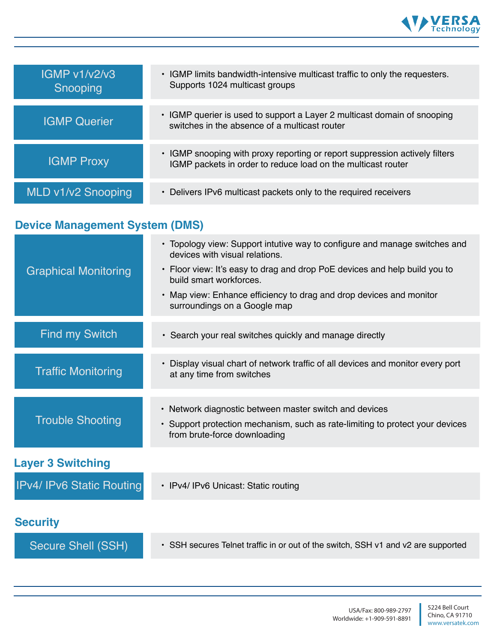

| IGMP v1/v2/v3<br>Snooping | • IGMP limits bandwidth-intensive multicast traffic to only the requesters.<br>Supports 1024 multicast groups                               |
|---------------------------|---------------------------------------------------------------------------------------------------------------------------------------------|
| <b>IGMP Querier</b>       | • IGMP querier is used to support a Layer 2 multicast domain of snooping<br>switches in the absence of a multicast router                   |
| <b>IGMP Proxy</b>         | • IGMP snooping with proxy reporting or report suppression actively filters<br>IGMP packets in order to reduce load on the multicast router |
| MLD v1/v2 Snooping        | • Delivers IPv6 multicast packets only to the required receivers                                                                            |

## **Device Management System (DMS)**

| <b>Graphical Monitoring</b>      | • Topology view: Support intutive way to configure and manage switches and<br>devices with visual relations.<br>• Floor view: It's easy to drag and drop PoE devices and help build you to<br>build smart workforces.<br>• Map view: Enhance efficiency to drag and drop devices and monitor<br>surroundings on a Google map |
|----------------------------------|------------------------------------------------------------------------------------------------------------------------------------------------------------------------------------------------------------------------------------------------------------------------------------------------------------------------------|
| <b>Find my Switch</b>            | • Search your real switches quickly and manage directly                                                                                                                                                                                                                                                                      |
| <b>Traffic Monitoring</b>        | • Display visual chart of network traffic of all devices and monitor every port<br>at any time from switches                                                                                                                                                                                                                 |
| <b>Trouble Shooting</b>          | • Network diagnostic between master switch and devices<br>• Support protection mechanism, such as rate-limiting to protect your devices<br>from brute-force downloading                                                                                                                                                      |
| <b>Layer 3 Switching</b>         |                                                                                                                                                                                                                                                                                                                              |
| <b>IPv4/ IPv6 Static Routing</b> | • IPv4/ IPv6 Unicast: Static routing                                                                                                                                                                                                                                                                                         |
| <b>Security</b>                  |                                                                                                                                                                                                                                                                                                                              |
| Secure Shell (SSH)               | • SSH secures Telnet traffic in or out of the switch, SSH v1 and v2 are supported                                                                                                                                                                                                                                            |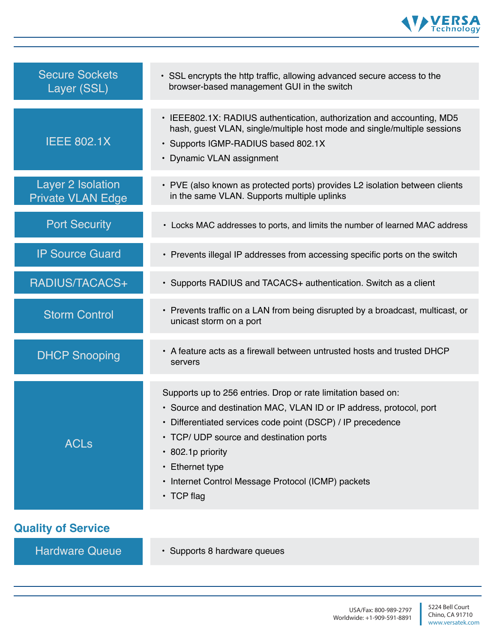

| <b>Secure Sockets</b><br>Layer (SSL)          | • SSL encrypts the http traffic, allowing advanced secure access to the<br>browser-based management GUI in the switch                                                                                                                                                                                                                                            |
|-----------------------------------------------|------------------------------------------------------------------------------------------------------------------------------------------------------------------------------------------------------------------------------------------------------------------------------------------------------------------------------------------------------------------|
| <b>IEEE 802.1X</b>                            | • IEEE802.1X: RADIUS authentication, authorization and accounting, MD5<br>hash, guest VLAN, single/multiple host mode and single/multiple sessions<br>· Supports IGMP-RADIUS based 802.1X<br>• Dynamic VLAN assignment                                                                                                                                           |
| Layer 2 Isolation<br><b>Private VLAN Edge</b> | • PVE (also known as protected ports) provides L2 isolation between clients<br>in the same VLAN. Supports multiple uplinks                                                                                                                                                                                                                                       |
| <b>Port Security</b>                          | • Locks MAC addresses to ports, and limits the number of learned MAC address                                                                                                                                                                                                                                                                                     |
| <b>IP Source Guard</b>                        | • Prevents illegal IP addresses from accessing specific ports on the switch                                                                                                                                                                                                                                                                                      |
| RADIUS/TACACS+                                | • Supports RADIUS and TACACS+ authentication. Switch as a client                                                                                                                                                                                                                                                                                                 |
| <b>Storm Control</b>                          | • Prevents traffic on a LAN from being disrupted by a broadcast, multicast, or<br>unicast storm on a port                                                                                                                                                                                                                                                        |
| <b>DHCP Snooping</b>                          | • A feature acts as a firewall between untrusted hosts and trusted DHCP<br>servers                                                                                                                                                                                                                                                                               |
| <b>ACLs</b>                                   | Supports up to 256 entries. Drop or rate limitation based on:<br>• Source and destination MAC, VLAN ID or IP address, protocol, port<br>• Differentiated services code point (DSCP) / IP precedence<br>• TCP/ UDP source and destination ports<br>• 802.1p priority<br>• Ethernet type<br>• Internet Control Message Protocol (ICMP) packets<br>$\cdot$ TCP flag |
| <b>Quality of Service</b>                     |                                                                                                                                                                                                                                                                                                                                                                  |
| <b>Hardware Queue</b>                         | · Supports 8 hardware queues                                                                                                                                                                                                                                                                                                                                     |

ı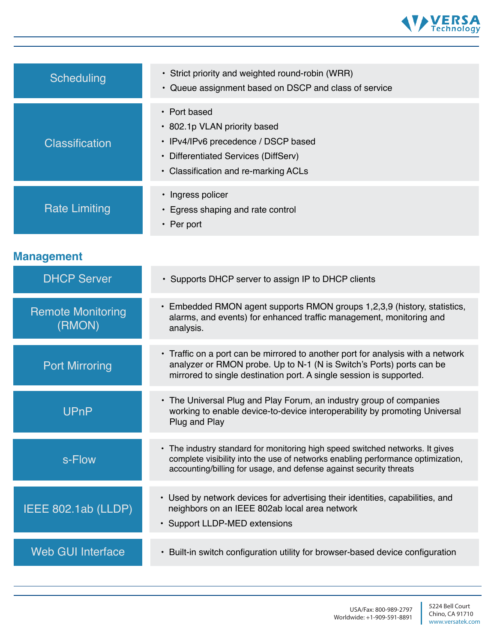

| Scheduling                         | • Strict priority and weighted round-robin (WRR)<br>• Queue assignment based on DSCP and class of service                                                                                                                              |
|------------------------------------|----------------------------------------------------------------------------------------------------------------------------------------------------------------------------------------------------------------------------------------|
| <b>Classification</b>              | • Port based<br>• 802.1p VLAN priority based<br>• IPv4/IPv6 precedence / DSCP based<br>• Differentiated Services (DiffServ)<br>• Classification and re-marking ACLs                                                                    |
| <b>Rate Limiting</b>               | • Ingress policer<br>• Egress shaping and rate control<br>• Per port                                                                                                                                                                   |
| <b>Management</b>                  |                                                                                                                                                                                                                                        |
| <b>DHCP Server</b>                 | • Supports DHCP server to assign IP to DHCP clients                                                                                                                                                                                    |
| <b>Remote Monitoring</b><br>(RMON) | • Embedded RMON agent supports RMON groups 1,2,3,9 (history, statistics,<br>alarms, and events) for enhanced traffic management, monitoring and<br>analysis.                                                                           |
| <b>Port Mirroring</b>              | • Traffic on a port can be mirrored to another port for analysis with a network<br>analyzer or RMON probe. Up to N-1 (N is Switch's Ports) ports can be<br>mirrored to single destination port. A single session is supported.         |
| UPnP                               | • The Universal Plug and Play Forum, an industry group of companies<br>working to enable device-to-device interoperability by promoting Universal<br>Plug and Play                                                                     |
| s-Flow                             | • The industry standard for monitoring high speed switched networks. It gives<br>complete visibility into the use of networks enabling performance optimization,<br>accounting/billing for usage, and defense against security threats |
| IEEE 802.1ab (LLDP)                | • Used by network devices for advertising their identities, capabilities, and<br>neighbors on an IEEE 802ab local area network<br>• Support LLDP-MED extensions                                                                        |
| <b>Web GUI Interface</b>           | • Built-in switch configuration utility for browser-based device configuration                                                                                                                                                         |
|                                    |                                                                                                                                                                                                                                        |